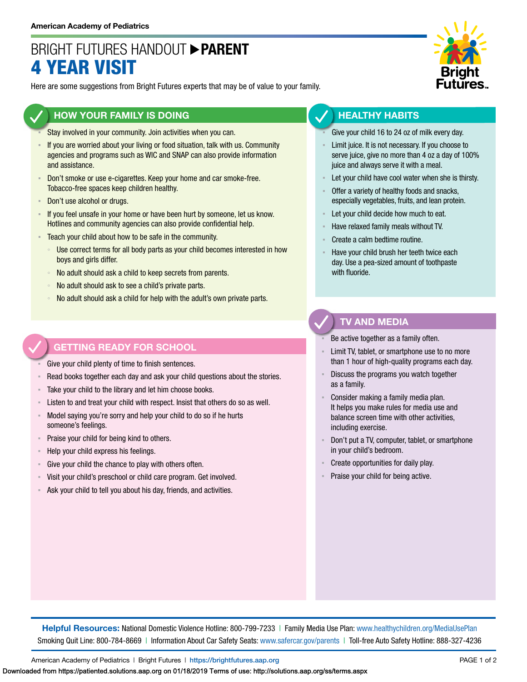## BRIGHT FUTURES HANDOUT **PARENT** 4 YEAR VISIT

Here are some suggestions from Bright Futures experts that may be of value to your family.

### **HOW YOUR FAMILY IS DOING**

- Stay involved in your community. Join activities when you can.
- If you are worried about your living or food situation, talk with us. Community agencies and programs such as WIC and SNAP can also provide information and assistance.
- **Don't smoke or use e-cigarettes. Keep your home and car smoke-free.** Tobacco-free spaces keep children healthy.
- Don't use alcohol or drugs.
- **EXECT** If you feel unsafe in your home or have been hurt by someone, let us know. Hotlines and community agencies can also provide confidential help.
- **EXECO** F Teach your child about how to be safe in the community.
	- Use correct terms for all body parts as your child becomes interested in how boys and girls differ.
	- No adult should ask a child to keep secrets from parents.
	- No adult should ask to see a child's private parts.
	- No adult should ask a child for help with the adult's own private parts.

### **GETTING READY FOR SCHOOL**

Give your child plenty of time to finish sentences.

- Read books together each day and ask your child questions about the stories.
- Take your child to the library and let him choose books.
- Listen to and treat your child with respect. Insist that others do so as well.
- Model saying you're sorry and help your child to do so if he hurts someone's feelings.
- Praise your child for being kind to others.
- Help your child express his feelings.
- Give your child the chance to play with others often.
- Visit your child's preschool or child care program. Get involved.
- Ask your child to tell you about his day, friends, and activities.



### **HEALTHY HABITS**

- Give your child 16 to 24 oz of milk every day.
- Limit juice. It is not necessary. If you choose to serve juice, give no more than 4 oz a day of 100% juice and always serve it with a meal.
- Let your child have cool water when she is thirsty.
- Offer a variety of healthy foods and snacks, especially vegetables, fruits, and lean protein.
- Let your child decide how much to eat.
- Have relaxed family meals without TV.
- Create a calm bedtime routine.
- Have your child brush her teeth twice each day. Use a pea-sized amount of toothpaste with fluoride.

### **TV AND MEDIA**

Be active together as a family often.

- Limit TV, tablet, or smartphone use to no more than 1 hour of high-quality programs each day.
- Discuss the programs you watch together as a family.
- Consider making a family media plan. It helps you make rules for media use and balance screen time with other activities, including exercise.
- Don't put a TV, computer, tablet, or smartphone in your child's bedroom.
- Create opportunities for daily play.
- Praise your child for being active.

**Helpful Resources:** National Domestic Violence Hotline: 800-799-7233 | Family Media Use Plan: [www.healthychildren.org/MediaUsePlan](https://www.healthychildren.org/English/media/Pages/default.aspx) Smoking Quit Line: 800-784-8669 | Information About Car Safety Seats: [www.safercar.gov/parents](https://www.nhtsa.gov/parents-and-caregivers) | Toll-free Auto Safety Hotline: 888-327-4236

American Academy of Pediatrics | Bright Futures | https://[brightfutures.aap.org](https://brightfutures.aap.org/Pages/default.aspx) PAGE 1 of 2